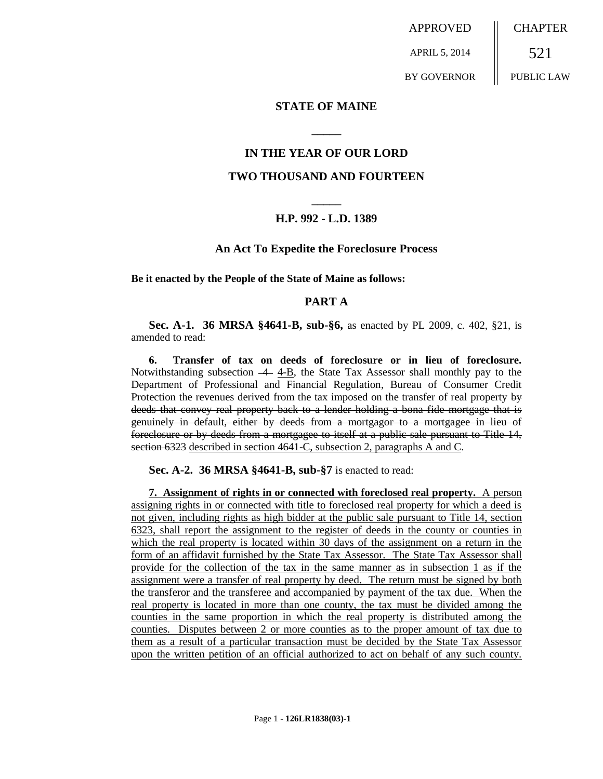APPROVED APRIL 5, 2014 BY GOVERNOR **CHAPTER** 521 PUBLIC LAW

**STATE OF MAINE**

## **IN THE YEAR OF OUR LORD**

**\_\_\_\_\_**

#### **TWO THOUSAND AND FOURTEEN**

# **\_\_\_\_\_ H.P. 992 - L.D. 1389**

#### **An Act To Expedite the Foreclosure Process**

**Be it enacted by the People of the State of Maine as follows:**

#### **PART A**

**Sec. A-1. 36 MRSA §4641-B, sub-§6,** as enacted by PL 2009, c. 402, §21, is amended to read:

**6. Transfer of tax on deeds of foreclosure or in lieu of foreclosure.** Notwithstanding subsection  $-4-4-B$ , the State Tax Assessor shall monthly pay to the Department of Professional and Financial Regulation, Bureau of Consumer Credit Protection the revenues derived from the tax imposed on the transfer of real property  $\theta \dot{\theta}$ deeds that convey real property back to a lender holding a bona fide mortgage that is genuinely in default, either by deeds from a mortgagor to a mortgagee in lieu of foreclosure or by deeds from a mortgagee to itself at a public sale pursuant to Title 14, section 6323 described in section 4641-C, subsection 2, paragraphs A and C.

**Sec. A-2. 36 MRSA §4641-B, sub-§7** is enacted to read:

**7. Assignment of rights in or connected with foreclosed real property.** A person assigning rights in or connected with title to foreclosed real property for which a deed is not given, including rights as high bidder at the public sale pursuant to Title 14, section 6323, shall report the assignment to the register of deeds in the county or counties in which the real property is located within 30 days of the assignment on a return in the form of an affidavit furnished by the State Tax Assessor. The State Tax Assessor shall provide for the collection of the tax in the same manner as in subsection 1 as if the assignment were a transfer of real property by deed. The return must be signed by both the transferor and the transferee and accompanied by payment of the tax due. When the real property is located in more than one county, the tax must be divided among the counties in the same proportion in which the real property is distributed among the counties. Disputes between 2 or more counties as to the proper amount of tax due to them as a result of a particular transaction must be decided by the State Tax Assessor upon the written petition of an official authorized to act on behalf of any such county.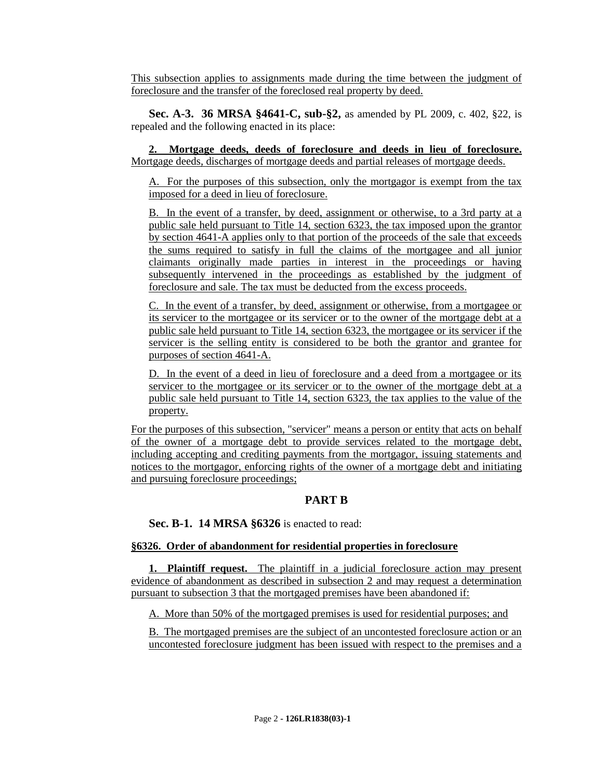This subsection applies to assignments made during the time between the judgment of foreclosure and the transfer of the foreclosed real property by deed.

**Sec. A-3. 36 MRSA §4641-C, sub-§2,** as amended by PL 2009, c. 402, §22, is repealed and the following enacted in its place:

**2. Mortgage deeds, deeds of foreclosure and deeds in lieu of foreclosure.**  Mortgage deeds, discharges of mortgage deeds and partial releases of mortgage deeds.

A. For the purposes of this subsection, only the mortgagor is exempt from the tax imposed for a deed in lieu of foreclosure.

B. In the event of a transfer, by deed, assignment or otherwise, to a 3rd party at a public sale held pursuant to Title 14, section 6323, the tax imposed upon the grantor by section 4641-A applies only to that portion of the proceeds of the sale that exceeds the sums required to satisfy in full the claims of the mortgagee and all junior claimants originally made parties in interest in the proceedings or having subsequently intervened in the proceedings as established by the judgment of foreclosure and sale. The tax must be deducted from the excess proceeds.

C. In the event of a transfer, by deed, assignment or otherwise, from a mortgagee or its servicer to the mortgagee or its servicer or to the owner of the mortgage debt at a public sale held pursuant to Title 14, section 6323, the mortgagee or its servicer if the servicer is the selling entity is considered to be both the grantor and grantee for purposes of section 4641-A.

D. In the event of a deed in lieu of foreclosure and a deed from a mortgagee or its servicer to the mortgagee or its servicer or to the owner of the mortgage debt at a public sale held pursuant to Title 14, section 6323, the tax applies to the value of the property.

For the purposes of this subsection, "servicer" means a person or entity that acts on behalf of the owner of a mortgage debt to provide services related to the mortgage debt, including accepting and crediting payments from the mortgagor, issuing statements and notices to the mortgagor, enforcing rights of the owner of a mortgage debt and initiating and pursuing foreclosure proceedings;

# **PART B**

**Sec. B-1. 14 MRSA §6326** is enacted to read:

# **§6326. Order of abandonment for residential properties in foreclosure**

**1. Plaintiff request.** The plaintiff in a judicial foreclosure action may present evidence of abandonment as described in subsection 2 and may request a determination pursuant to subsection 3 that the mortgaged premises have been abandoned if:

A. More than 50% of the mortgaged premises is used for residential purposes; and

B. The mortgaged premises are the subject of an uncontested foreclosure action or an uncontested foreclosure judgment has been issued with respect to the premises and a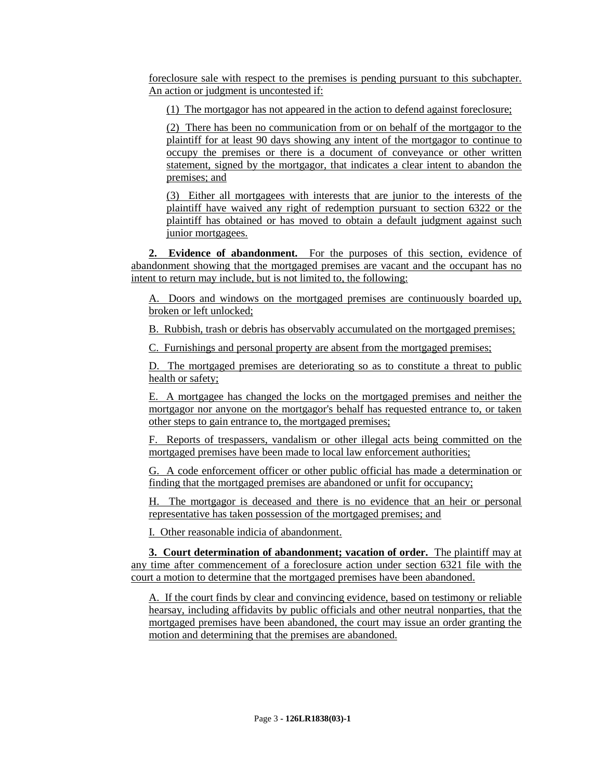foreclosure sale with respect to the premises is pending pursuant to this subchapter. An action or judgment is uncontested if:

(1) The mortgagor has not appeared in the action to defend against foreclosure;

(2) There has been no communication from or on behalf of the mortgagor to the plaintiff for at least 90 days showing any intent of the mortgagor to continue to occupy the premises or there is a document of conveyance or other written statement, signed by the mortgagor, that indicates a clear intent to abandon the premises; and

(3) Either all mortgagees with interests that are junior to the interests of the plaintiff have waived any right of redemption pursuant to section 6322 or the plaintiff has obtained or has moved to obtain a default judgment against such junior mortgagees.

**2. Evidence of abandonment.** For the purposes of this section, evidence of abandonment showing that the mortgaged premises are vacant and the occupant has no intent to return may include, but is not limited to, the following:

A. Doors and windows on the mortgaged premises are continuously boarded up, broken or left unlocked;

B. Rubbish, trash or debris has observably accumulated on the mortgaged premises;

C. Furnishings and personal property are absent from the mortgaged premises;

D. The mortgaged premises are deteriorating so as to constitute a threat to public health or safety;

E. A mortgagee has changed the locks on the mortgaged premises and neither the mortgagor nor anyone on the mortgagor's behalf has requested entrance to, or taken other steps to gain entrance to, the mortgaged premises;

F. Reports of trespassers, vandalism or other illegal acts being committed on the mortgaged premises have been made to local law enforcement authorities;

G. A code enforcement officer or other public official has made a determination or finding that the mortgaged premises are abandoned or unfit for occupancy;

H. The mortgagor is deceased and there is no evidence that an heir or personal representative has taken possession of the mortgaged premises; and

I. Other reasonable indicia of abandonment.

**3. Court determination of abandonment; vacation of order.** The plaintiff may at any time after commencement of a foreclosure action under section 6321 file with the court a motion to determine that the mortgaged premises have been abandoned.

A. If the court finds by clear and convincing evidence, based on testimony or reliable hearsay, including affidavits by public officials and other neutral nonparties, that the mortgaged premises have been abandoned, the court may issue an order granting the motion and determining that the premises are abandoned.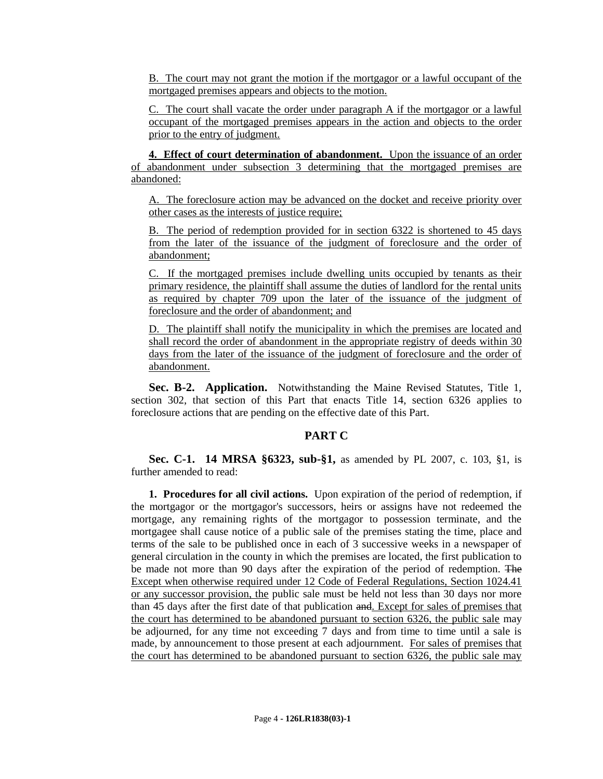B. The court may not grant the motion if the mortgagor or a lawful occupant of the mortgaged premises appears and objects to the motion.

C. The court shall vacate the order under paragraph A if the mortgagor or a lawful occupant of the mortgaged premises appears in the action and objects to the order prior to the entry of judgment.

**4. Effect of court determination of abandonment.** Upon the issuance of an order of abandonment under subsection 3 determining that the mortgaged premises are abandoned:

A. The foreclosure action may be advanced on the docket and receive priority over other cases as the interests of justice require;

B. The period of redemption provided for in section 6322 is shortened to 45 days from the later of the issuance of the judgment of foreclosure and the order of abandonment;

C. If the mortgaged premises include dwelling units occupied by tenants as their primary residence, the plaintiff shall assume the duties of landlord for the rental units as required by chapter 709 upon the later of the issuance of the judgment of foreclosure and the order of abandonment; and

D. The plaintiff shall notify the municipality in which the premises are located and shall record the order of abandonment in the appropriate registry of deeds within 30 days from the later of the issuance of the judgment of foreclosure and the order of abandonment.

**Sec. B-2. Application.** Notwithstanding the Maine Revised Statutes, Title 1, section 302, that section of this Part that enacts Title 14, section 6326 applies to foreclosure actions that are pending on the effective date of this Part.

### **PART C**

**Sec. C-1. 14 MRSA §6323, sub-§1,** as amended by PL 2007, c. 103, §1, is further amended to read:

**1. Procedures for all civil actions.** Upon expiration of the period of redemption, if the mortgagor or the mortgagor's successors, heirs or assigns have not redeemed the mortgage, any remaining rights of the mortgagor to possession terminate, and the mortgagee shall cause notice of a public sale of the premises stating the time, place and terms of the sale to be published once in each of 3 successive weeks in a newspaper of general circulation in the county in which the premises are located, the first publication to be made not more than 90 days after the expiration of the period of redemption. The Except when otherwise required under 12 Code of Federal Regulations, Section 1024.41 or any successor provision, the public sale must be held not less than 30 days nor more than 45 days after the first date of that publication and. Except for sales of premises that the court has determined to be abandoned pursuant to section 6326, the public sale may be adjourned, for any time not exceeding 7 days and from time to time until a sale is made, by announcement to those present at each adjournment. For sales of premises that the court has determined to be abandoned pursuant to section 6326, the public sale may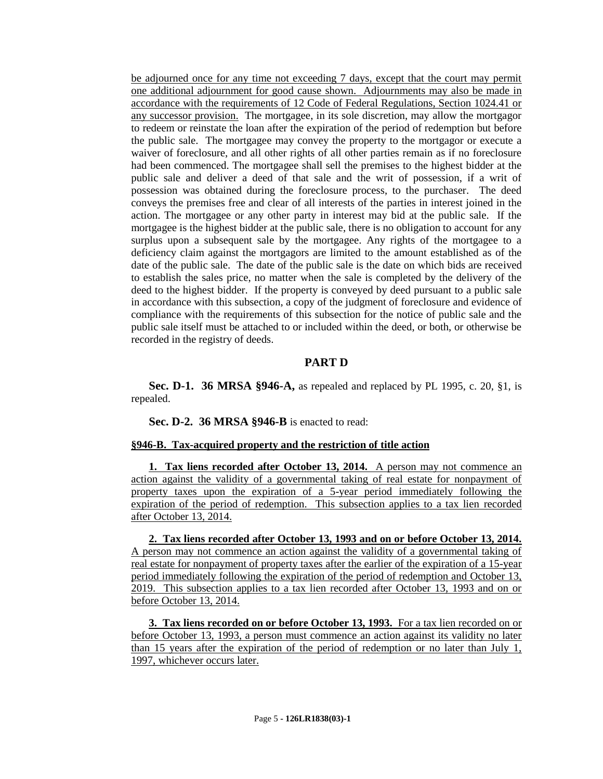be adjourned once for any time not exceeding 7 days, except that the court may permit one additional adjournment for good cause shown. Adjournments may also be made in accordance with the requirements of 12 Code of Federal Regulations, Section 1024.41 or any successor provision. The mortgagee, in its sole discretion, may allow the mortgagor to redeem or reinstate the loan after the expiration of the period of redemption but before the public sale. The mortgagee may convey the property to the mortgagor or execute a waiver of foreclosure, and all other rights of all other parties remain as if no foreclosure had been commenced. The mortgagee shall sell the premises to the highest bidder at the public sale and deliver a deed of that sale and the writ of possession, if a writ of possession was obtained during the foreclosure process, to the purchaser. The deed conveys the premises free and clear of all interests of the parties in interest joined in the action. The mortgagee or any other party in interest may bid at the public sale. If the mortgagee is the highest bidder at the public sale, there is no obligation to account for any surplus upon a subsequent sale by the mortgagee. Any rights of the mortgagee to a deficiency claim against the mortgagors are limited to the amount established as of the date of the public sale. The date of the public sale is the date on which bids are received to establish the sales price, no matter when the sale is completed by the delivery of the deed to the highest bidder. If the property is conveyed by deed pursuant to a public sale in accordance with this subsection, a copy of the judgment of foreclosure and evidence of compliance with the requirements of this subsection for the notice of public sale and the public sale itself must be attached to or included within the deed, or both, or otherwise be recorded in the registry of deeds.

#### **PART D**

**Sec. D-1. 36 MRSA §946-A,** as repealed and replaced by PL 1995, c. 20, §1, is repealed.

**Sec. D-2. 36 MRSA §946-B** is enacted to read:

#### **§946-B. Tax-acquired property and the restriction of title action**

**1. Tax liens recorded after October 13, 2014.** A person may not commence an action against the validity of a governmental taking of real estate for nonpayment of property taxes upon the expiration of a 5-year period immediately following the expiration of the period of redemption. This subsection applies to a tax lien recorded after October 13, 2014.

**2. Tax liens recorded after October 13, 1993 and on or before October 13, 2014.**  A person may not commence an action against the validity of a governmental taking of real estate for nonpayment of property taxes after the earlier of the expiration of a 15-year period immediately following the expiration of the period of redemption and October 13, 2019. This subsection applies to a tax lien recorded after October 13, 1993 and on or before October 13, 2014.

**3. Tax liens recorded on or before October 13, 1993.** For a tax lien recorded on or before October 13, 1993, a person must commence an action against its validity no later than 15 years after the expiration of the period of redemption or no later than July 1, 1997, whichever occurs later.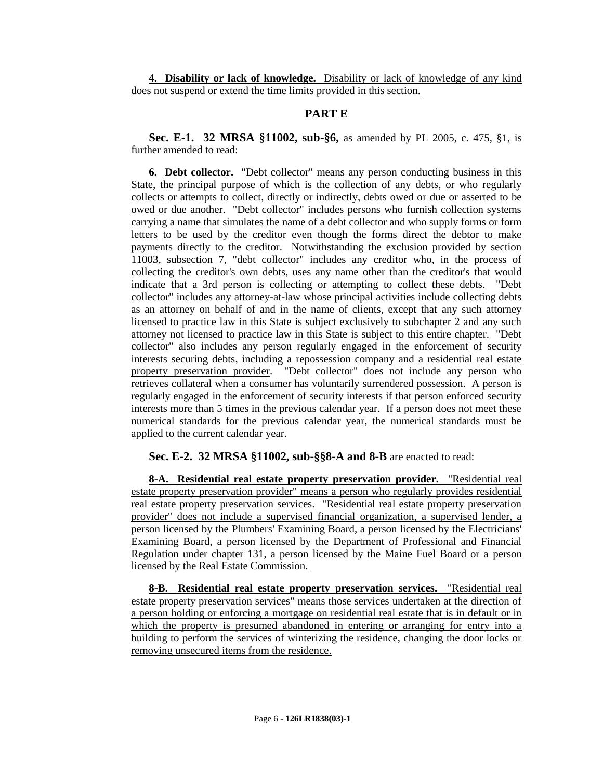**4. Disability or lack of knowledge.** Disability or lack of knowledge of any kind does not suspend or extend the time limits provided in this section.

## **PART E**

**Sec. E-1. 32 MRSA §11002, sub-§6,** as amended by PL 2005, c. 475, §1, is further amended to read:

**6. Debt collector.** "Debt collector" means any person conducting business in this State, the principal purpose of which is the collection of any debts, or who regularly collects or attempts to collect, directly or indirectly, debts owed or due or asserted to be owed or due another. "Debt collector" includes persons who furnish collection systems carrying a name that simulates the name of a debt collector and who supply forms or form letters to be used by the creditor even though the forms direct the debtor to make payments directly to the creditor. Notwithstanding the exclusion provided by section 11003, subsection 7, "debt collector" includes any creditor who, in the process of collecting the creditor's own debts, uses any name other than the creditor's that would indicate that a 3rd person is collecting or attempting to collect these debts. "Debt collector" includes any attorney-at-law whose principal activities include collecting debts as an attorney on behalf of and in the name of clients, except that any such attorney licensed to practice law in this State is subject exclusively to subchapter 2 and any such attorney not licensed to practice law in this State is subject to this entire chapter. "Debt collector" also includes any person regularly engaged in the enforcement of security interests securing debts, including a repossession company and a residential real estate property preservation provider. "Debt collector" does not include any person who retrieves collateral when a consumer has voluntarily surrendered possession. A person is regularly engaged in the enforcement of security interests if that person enforced security interests more than 5 times in the previous calendar year. If a person does not meet these numerical standards for the previous calendar year, the numerical standards must be applied to the current calendar year.

# **Sec. E-2. 32 MRSA §11002, sub-§§8-A and 8-B** are enacted to read:

**8-A. Residential real estate property preservation provider.** "Residential real estate property preservation provider" means a person who regularly provides residential real estate property preservation services. "Residential real estate property preservation provider" does not include a supervised financial organization, a supervised lender, a person licensed by the Plumbers' Examining Board, a person licensed by the Electricians' Examining Board, a person licensed by the Department of Professional and Financial Regulation under chapter 131, a person licensed by the Maine Fuel Board or a person licensed by the Real Estate Commission.

**8-B. Residential real estate property preservation services.** "Residential real estate property preservation services" means those services undertaken at the direction of a person holding or enforcing a mortgage on residential real estate that is in default or in which the property is presumed abandoned in entering or arranging for entry into a building to perform the services of winterizing the residence, changing the door locks or removing unsecured items from the residence.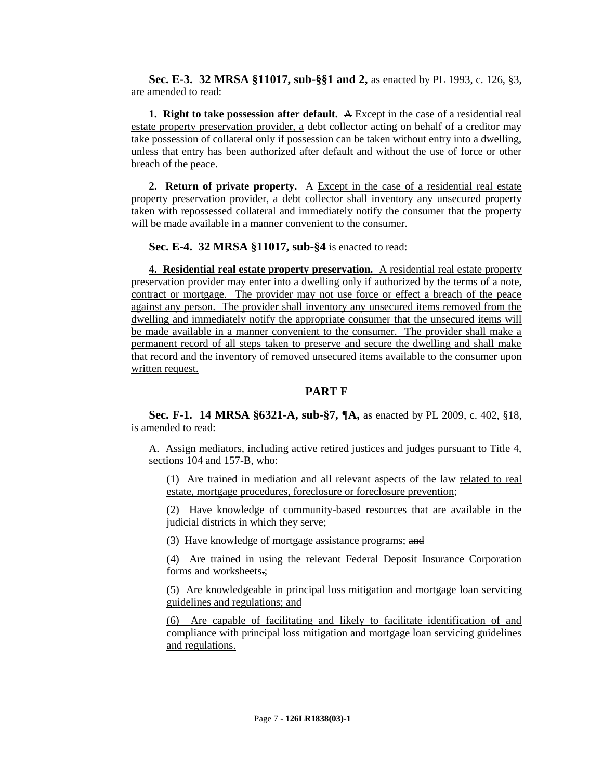**Sec. E-3. 32 MRSA §11017, sub-§§1 and 2,** as enacted by PL 1993, c. 126, §3, are amended to read:

**1. Right to take possession after default.** A Except in the case of a residential real estate property preservation provider, a debt collector acting on behalf of a creditor may take possession of collateral only if possession can be taken without entry into a dwelling, unless that entry has been authorized after default and without the use of force or other breach of the peace.

**2. Return of private property.** A Except in the case of a residential real estate property preservation provider, a debt collector shall inventory any unsecured property taken with repossessed collateral and immediately notify the consumer that the property will be made available in a manner convenient to the consumer.

**Sec. E-4. 32 MRSA §11017, sub-§4** is enacted to read:

**4. Residential real estate property preservation.** A residential real estate property preservation provider may enter into a dwelling only if authorized by the terms of a note, contract or mortgage. The provider may not use force or effect a breach of the peace against any person. The provider shall inventory any unsecured items removed from the dwelling and immediately notify the appropriate consumer that the unsecured items will be made available in a manner convenient to the consumer. The provider shall make a permanent record of all steps taken to preserve and secure the dwelling and shall make that record and the inventory of removed unsecured items available to the consumer upon written request.

# **PART F**

**Sec. F-1. 14 MRSA §6321-A, sub-§7, ¶A,** as enacted by PL 2009, c. 402, §18, is amended to read:

A. Assign mediators, including active retired justices and judges pursuant to Title 4, sections 104 and 157-B, who:

(1) Are trained in mediation and all relevant aspects of the law related to real estate, mortgage procedures, foreclosure or foreclosure prevention;

(2) Have knowledge of community-based resources that are available in the judicial districts in which they serve;

(3) Have knowledge of mortgage assistance programs; and

(4) Are trained in using the relevant Federal Deposit Insurance Corporation forms and worksheets.;

(5) Are knowledgeable in principal loss mitigation and mortgage loan servicing guidelines and regulations; and

(6) Are capable of facilitating and likely to facilitate identification of and compliance with principal loss mitigation and mortgage loan servicing guidelines and regulations.